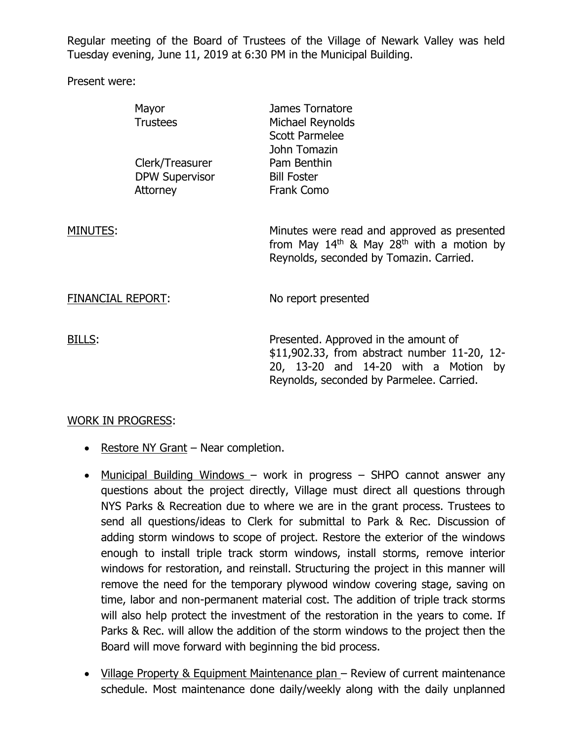Regular meeting of the Board of Trustees of the Village of Newark Valley was held Tuesday evening, June 11, 2019 at 6:30 PM in the Municipal Building.

Present were:

|                   | Mayor<br><b>Trustees</b>                             | James Tornatore<br>Michael Reynolds<br><b>Scott Parmelee</b><br>John Tomazin                                                                                             |
|-------------------|------------------------------------------------------|--------------------------------------------------------------------------------------------------------------------------------------------------------------------------|
|                   | Clerk/Treasurer<br><b>DPW Supervisor</b><br>Attorney | Pam Benthin<br><b>Bill Foster</b><br><b>Frank Como</b>                                                                                                                   |
| MINUTES:          |                                                      | Minutes were read and approved as presented<br>from May $14th$ & May 28 <sup>th</sup> with a motion by<br>Reynolds, seconded by Tomazin. Carried.                        |
| FINANCIAL REPORT: |                                                      | No report presented                                                                                                                                                      |
| BILLS:            |                                                      | Presented. Approved in the amount of<br>\$11,902.33, from abstract number 11-20, 12-<br>20, 13-20 and 14-20 with a Motion by<br>Reynolds, seconded by Parmelee. Carried. |

## WORK IN PROGRESS:

- Restore NY Grant Near completion.
- Municipal Building Windows work in progress SHPO cannot answer any questions about the project directly, Village must direct all questions through NYS Parks & Recreation due to where we are in the grant process. Trustees to send all questions/ideas to Clerk for submittal to Park & Rec. Discussion of adding storm windows to scope of project. Restore the exterior of the windows enough to install triple track storm windows, install storms, remove interior windows for restoration, and reinstall. Structuring the project in this manner will remove the need for the temporary plywood window covering stage, saving on time, labor and non-permanent material cost. The addition of triple track storms will also help protect the investment of the restoration in the years to come. If Parks & Rec. will allow the addition of the storm windows to the project then the Board will move forward with beginning the bid process.
- Village Property & Equipment Maintenance plan Review of current maintenance schedule. Most maintenance done daily/weekly along with the daily unplanned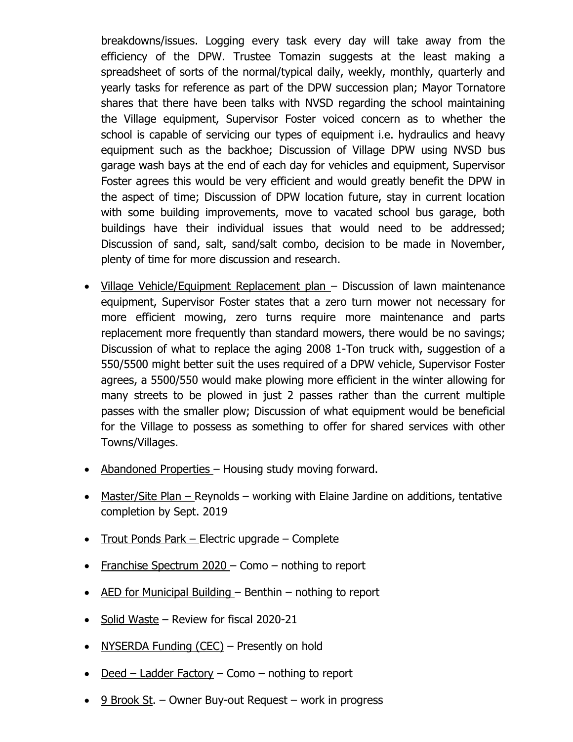breakdowns/issues. Logging every task every day will take away from the efficiency of the DPW. Trustee Tomazin suggests at the least making a spreadsheet of sorts of the normal/typical daily, weekly, monthly, quarterly and yearly tasks for reference as part of the DPW succession plan; Mayor Tornatore shares that there have been talks with NVSD regarding the school maintaining the Village equipment, Supervisor Foster voiced concern as to whether the school is capable of servicing our types of equipment i.e. hydraulics and heavy equipment such as the backhoe; Discussion of Village DPW using NVSD bus garage wash bays at the end of each day for vehicles and equipment, Supervisor Foster agrees this would be very efficient and would greatly benefit the DPW in the aspect of time; Discussion of DPW location future, stay in current location with some building improvements, move to vacated school bus garage, both buildings have their individual issues that would need to be addressed; Discussion of sand, salt, sand/salt combo, decision to be made in November, plenty of time for more discussion and research.

- Village Vehicle/Equipment Replacement plan Discussion of lawn maintenance equipment, Supervisor Foster states that a zero turn mower not necessary for more efficient mowing, zero turns require more maintenance and parts replacement more frequently than standard mowers, there would be no savings; Discussion of what to replace the aging 2008 1-Ton truck with, suggestion of a 550/5500 might better suit the uses required of a DPW vehicle, Supervisor Foster agrees, a 5500/550 would make plowing more efficient in the winter allowing for many streets to be plowed in just 2 passes rather than the current multiple passes with the smaller plow; Discussion of what equipment would be beneficial for the Village to possess as something to offer for shared services with other Towns/Villages.
- Abandoned Properties Housing study moving forward.
- Master/Site Plan Reynolds working with Elaine Jardine on additions, tentative completion by Sept. 2019
- Trout Ponds Park Electric upgrade Complete
- Franchise Spectrum  $2020$  Como nothing to report
- $\bullet$  AED for Municipal Building Benthin nothing to report
- $\bullet$  Solid Waste Review for fiscal 2020-21
- NYSERDA Funding (CEC) Presently on hold
- $\bullet$  Deed Ladder Factory Como nothing to report
- $\cdot$  9 Brook St. Owner Buy-out Request work in progress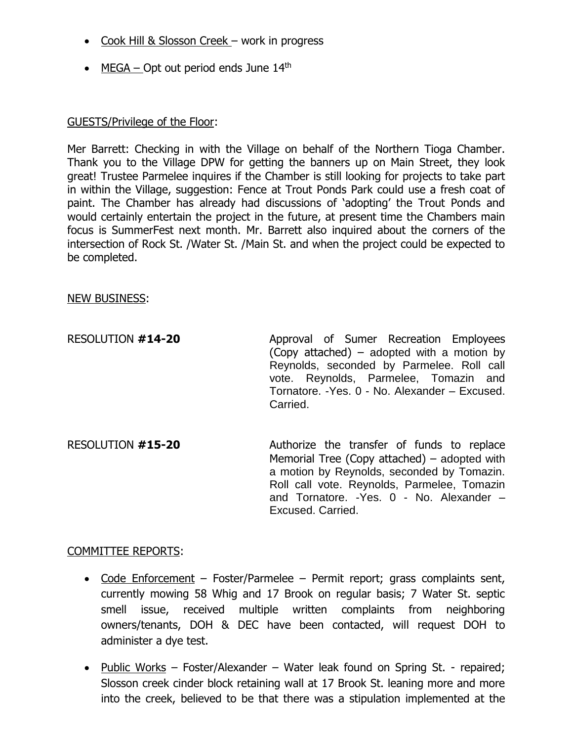- Cook Hill & Slosson Creek work in progress
- $\bullet$  MEGA Opt out period ends June 14<sup>th</sup>

## GUESTS/Privilege of the Floor:

Mer Barrett: Checking in with the Village on behalf of the Northern Tioga Chamber. Thank you to the Village DPW for getting the banners up on Main Street, they look great! Trustee Parmelee inquires if the Chamber is still looking for projects to take part in within the Village, suggestion: Fence at Trout Ponds Park could use a fresh coat of paint. The Chamber has already had discussions of 'adopting' the Trout Ponds and would certainly entertain the project in the future, at present time the Chambers main focus is SummerFest next month. Mr. Barrett also inquired about the corners of the intersection of Rock St. /Water St. /Main St. and when the project could be expected to be completed.

## NEW BUSINESS:

| RESOLUTION #14-20 | Approval of Sumer Recreation Employees<br>(Copy attached) – adopted with a motion by<br>Reynolds, seconded by Parmelee. Roll call<br>vote. Reynolds, Parmelee, Tomazin and<br>Tornatore. - Yes. 0 - No. Alexander - Excused.<br>Carried. |
|-------------------|------------------------------------------------------------------------------------------------------------------------------------------------------------------------------------------------------------------------------------------|
|                   |                                                                                                                                                                                                                                          |

RESOLUTION **#15-20** Authorize the transfer of funds to replace Memorial Tree (Copy attached) – adopted with a motion by Reynolds, seconded by Tomazin. Roll call vote. Reynolds, Parmelee, Tomazin and Tornatore. -Yes. 0 - No. Alexander – Excused. Carried.

## COMMITTEE REPORTS:

- Code Enforcement Foster/Parmelee Permit report; grass complaints sent, currently mowing 58 Whig and 17 Brook on regular basis; 7 Water St. septic smell issue, received multiple written complaints from neighboring owners/tenants, DOH & DEC have been contacted, will request DOH to administer a dye test.
- Public Works Foster/Alexander Water leak found on Spring St. repaired; Slosson creek cinder block retaining wall at 17 Brook St. leaning more and more into the creek, believed to be that there was a stipulation implemented at the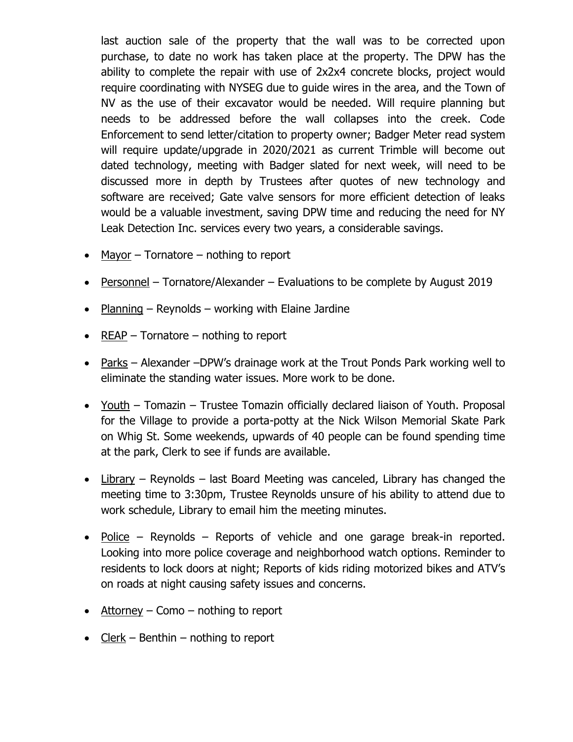last auction sale of the property that the wall was to be corrected upon purchase, to date no work has taken place at the property. The DPW has the ability to complete the repair with use of 2x2x4 concrete blocks, project would require coordinating with NYSEG due to guide wires in the area, and the Town of NV as the use of their excavator would be needed. Will require planning but needs to be addressed before the wall collapses into the creek. Code Enforcement to send letter/citation to property owner; Badger Meter read system will require update/upgrade in 2020/2021 as current Trimble will become out dated technology, meeting with Badger slated for next week, will need to be discussed more in depth by Trustees after quotes of new technology and software are received; Gate valve sensors for more efficient detection of leaks would be a valuable investment, saving DPW time and reducing the need for NY Leak Detection Inc. services every two years, a considerable savings.

- Mayor  $-$  Tornatore  $-$  nothing to report
- Personnel Tornatore/Alexander Evaluations to be complete by August 2019
- Planning Reynolds working with Elaine Jardine
- REAP Tornatore nothing to report
- Parks Alexander –DPW's drainage work at the Trout Ponds Park working well to eliminate the standing water issues. More work to be done.
- Youth Tomazin Trustee Tomazin officially declared liaison of Youth. Proposal for the Village to provide a porta-potty at the Nick Wilson Memorial Skate Park on Whig St. Some weekends, upwards of 40 people can be found spending time at the park, Clerk to see if funds are available.
- Library Reynolds last Board Meeting was canceled, Library has changed the meeting time to 3:30pm, Trustee Reynolds unsure of his ability to attend due to work schedule, Library to email him the meeting minutes.
- Police Reynolds Reports of vehicle and one garage break-in reported. Looking into more police coverage and neighborhood watch options. Reminder to residents to lock doors at night; Reports of kids riding motorized bikes and ATV's on roads at night causing safety issues and concerns.
- $\bullet$  Attorney Como nothing to report
- Clerk Benthin nothing to report